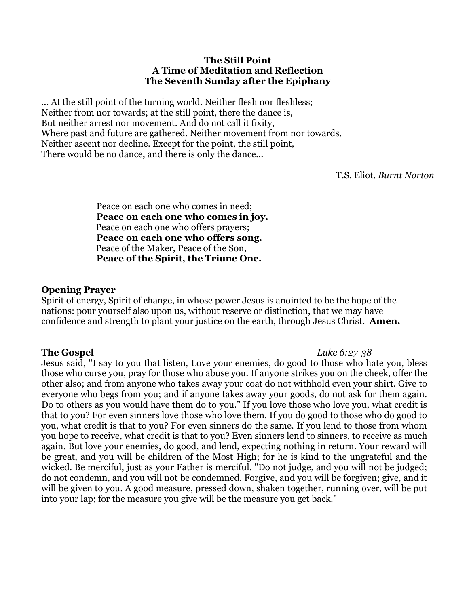#### **The Still Point A Time of Meditation and Reflection The Seventh Sunday after the Epiphany**

... At the still point of the turning world. Neither flesh nor fleshless; Neither from nor towards; at the still point, there the dance is, But neither arrest nor movement. And do not call it fixity, Where past and future are gathered. Neither movement from nor towards, Neither ascent nor decline. Except for the point, the still point, There would be no dance, and there is only the dance...

T.S. Eliot, *Burnt Norton*

Peace on each one who comes in need; **Peace on each one who comes in joy.**  Peace on each one who offers prayers; **Peace on each one who offers song.** Peace of the Maker, Peace of the Son, **Peace of the Spirit, the Triune One.** 

#### **Opening Prayer**

Spirit of energy, Spirit of change, in whose power Jesus is anointed to be the hope of the nations: pour yourself also upon us, without reserve or distinction, that we may have confidence and strength to plant your justice on the earth, through Jesus Christ. **Amen.**

#### **The Gospel** *Luke 6:27-38*

Jesus said, "I say to you that listen, Love your enemies, do good to those who hate you, bless those who curse you, pray for those who abuse you. If anyone strikes you on the cheek, offer the other also; and from anyone who takes away your coat do not withhold even your shirt. Give to everyone who begs from you; and if anyone takes away your goods, do not ask for them again. Do to others as you would have them do to you." If you love those who love you, what credit is that to you? For even sinners love those who love them. If you do good to those who do good to you, what credit is that to you? For even sinners do the same. If you lend to those from whom you hope to receive, what credit is that to you? Even sinners lend to sinners, to receive as much again. But love your enemies, do good, and lend, expecting nothing in return. Your reward will be great, and you will be children of the Most High; for he is kind to the ungrateful and the wicked. Be merciful, just as your Father is merciful. "Do not judge, and you will not be judged; do not condemn, and you will not be condemned. Forgive, and you will be forgiven; give, and it will be given to you. A good measure, pressed down, shaken together, running over, will be put into your lap; for the measure you give will be the measure you get back."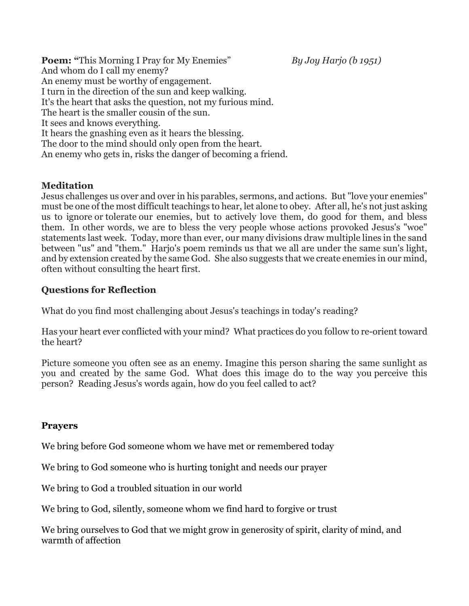**Poem:** "This Morning I Pray for My Enemies" *By Joy Harjo (b 1951)* And whom do I call my enemy? An enemy must be worthy of engagement. I turn in the direction of the sun and keep walking. It's the heart that asks the question, not my furious mind. The heart is the smaller cousin of the sun. It sees and knows everything. It hears the gnashing even as it hears the blessing. The door to the mind should only open from the heart. An enemy who gets in, risks the danger of becoming a friend.

# **Meditation**

Jesus challenges us over and over in his parables, sermons, and actions. But "love your enemies" must be one of the most difficult teachings to hear, let alone to obey. After all, he's not just asking us to ignore or tolerate our enemies, but to actively love them, do good for them, and bless them. In other words, we are to bless the very people whose actions provoked Jesus's "woe" statements last week. Today, more than ever, our many divisions draw multiple lines in the sand between "us" and "them." Harjo's poem reminds us that we all are under the same sun's light, and by extension created by the same God. She also suggests that we create enemies in our mind, often without consulting the heart first.

### **Questions for Reflection**

What do you find most challenging about Jesus's teachings in today's reading?

Has your heart ever conflicted with your mind? What practices do you follow to re-orient toward the heart?

Picture someone you often see as an enemy. Imagine this person sharing the same sunlight as you and created by the same God. What does this image do to the way you perceive this person? Reading Jesus's words again, how do you feel called to act?

# **Prayers**

We bring before God someone whom we have met or remembered today

We bring to God someone who is hurting tonight and needs our prayer

We bring to God a troubled situation in our world

We bring to God, silently, someone whom we find hard to forgive or trust

We bring ourselves to God that we might grow in generosity of spirit, clarity of mind, and warmth of affection